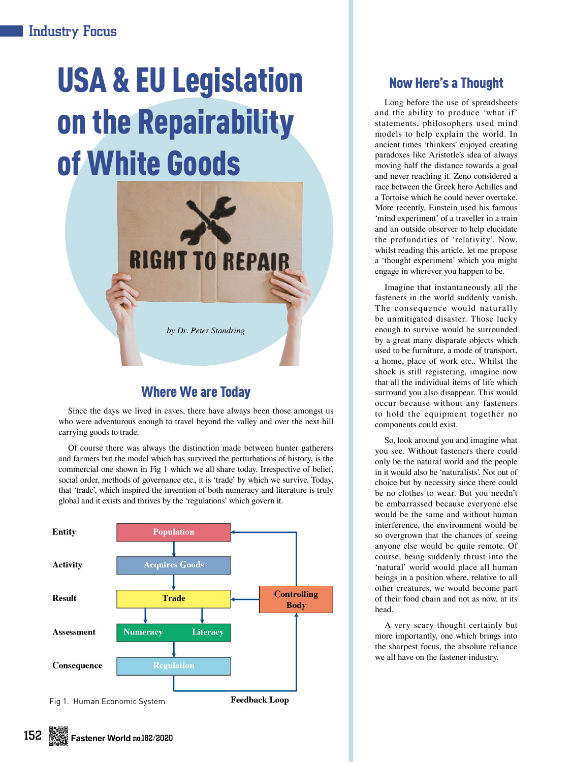## Industry Focus

# USA & EU Legislation on the Repairability of White Goods



## Where We are Today

Since the days we lived in caves, there have always been those amongst us who were adventurous enough to travel beyond the valley and over the next hill carrying goods to trade.

Of course there was always the distinction made between hunter gatherers and farmers but the model which has survived the perturbations of history, is the commercial one shown in Fig 1 which we all share today. Irrespective of belief, social order, methods of governance etc., it is 'trade' by which we survive. Today, that 'trade', which inspired the invention of both numeracy and literature is truly global and it exists and thrives by the 'regulations' which govern it.



## Now Here's a Thought

Long before the use of spreadsheets and the ability to produce 'what if' statements, philosophers used mind models to help explain the world. In ancient times 'thinkers' enjoyed creating paradoxes like Aristotle's idea of always moving half the distance towards a goal and never reaching it. Zeno considered a race between the Greek hero Achilles and a Tortoise which he could never overtake. More recently, Einstein used his famous 'mind experiment' of a traveller in a train and an outside observer to help elucidate the profundities of 'relativity'. Now, whilst reading this article, let me propose a 'thought experiment' which you might engage in wherever you happen to be.

Imagine that instantaneously all the fasteners in the world suddenly vanish. The consequence would naturally be unmitigated disaster. Those lucky enough to survive would be surrounded by a great many disparate objects which used to be furniture, a mode of transport, a home, place of work etc.. Whilst the shock is still registering, imagine now that all the individual items of life which surround you also disappear. This would occur because without any fasteners to hold the equipment together no components could exist.

So, look around you and imagine what you see. Without fasteners there could only be the natural world and the people in it would also be 'naturalists'. Not out of choice but by necessity since there could be no clothes to wear. But you needn't be embarrassed because everyone else would be the same and without human interference, the environment would be so overgrown that the chances of seeing anyone else would be quite remote. Of course, being suddenly thrust into the 'natural' world would place all human beings in a position where, relative to all other creatures, we would become part of their food chain and not as now, at its head.

A very scary thought certainly but more importantly, one which brings into the sharpest focus, the absolute reliance we all have on the fastener industry.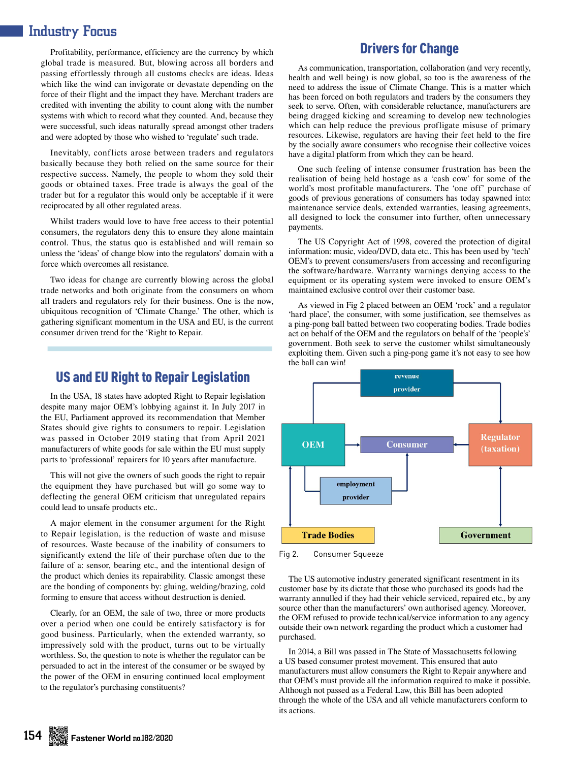## Industry Focus

Profitability, performance, efficiency are the currency by which global trade is measured. But, blowing across all borders and passing effortlessly through all customs checks are ideas. Ideas which like the wind can invigorate or devastate depending on the force of their flight and the impact they have. Merchant traders are credited with inventing the ability to count along with the number systems with which to record what they counted. And, because they were successful, such ideas naturally spread amongst other traders and were adopted by those who wished to 'regulate' such trade.

Inevitably, conflicts arose between traders and regulators basically because they both relied on the same source for their respective success. Namely, the people to whom they sold their goods or obtained taxes. Free trade is always the goal of the trader but for a regulator this would only be acceptable if it were reciprocated by all other regulated areas.

Whilst traders would love to have free access to their potential consumers, the regulators deny this to ensure they alone maintain control. Thus, the status quo is established and will remain so unless the 'ideas' of change blow into the regulators' domain with a force which overcomes all resistance.

Two ideas for change are currently blowing across the global trade networks and both originate from the consumers on whom all traders and regulators rely for their business. One is the now, ubiquitous recognition of 'Climate Change.' The other, which is gathering significant momentum in the USA and EU, is the current consumer driven trend for the 'Right to Repair.

#### US and EU Right to Repair Legislation

In the USA, 18 states have adopted Right to Repair legislation despite many major OEM's lobbying against it. In July 2017 in the EU, Parliament approved its recommendation that Member States should give rights to consumers to repair. Legislation was passed in October 2019 stating that from April 2021 manufacturers of white goods for sale within the EU must supply parts to 'professional' repairers for 10 years after manufacture.

This will not give the owners of such goods the right to repair the equipment they have purchased but will go some way to deflecting the general OEM criticism that unregulated repairs could lead to unsafe products etc..

A major element in the consumer argument for the Right to Repair legislation, is the reduction of waste and misuse of resources. Waste because of the inability of consumers to significantly extend the life of their purchase often due to the failure of a: sensor, bearing etc., and the intentional design of the product which denies its repairability. Classic amongst these are the bonding of components by: gluing, welding/brazing, cold forming to ensure that access without destruction is denied.

Clearly, for an OEM, the sale of two, three or more products over a period when one could be entirely satisfactory is for good business. Particularly, when the extended warranty, so impressively sold with the product, turns out to be virtually worthless. So, the question to note is whether the regulator can be persuaded to act in the interest of the consumer or be swayed by the power of the OEM in ensuring continued local employment to the regulator's purchasing constituents?

#### Drivers for Change

As communication, transportation, collaboration (and very recently, health and well being) is now global, so too is the awareness of the need to address the issue of Climate Change. This is a matter which has been forced on both regulators and traders by the consumers they seek to serve. Often, with considerable reluctance, manufacturers are being dragged kicking and screaming to develop new technologies which can help reduce the previous profligate misuse of primary resources. Likewise, regulators are having their feet held to the fire by the socially aware consumers who recognise their collective voices have a digital platform from which they can be heard.

One such feeling of intense consumer frustration has been the realisation of being held hostage as a 'cash cow' for some of the world's most profitable manufacturers. The 'one off' purchase of goods of previous generations of consumers has today spawned into: maintenance service deals, extended warranties, leasing agreements, all designed to lock the consumer into further, often unnecessary payments.

The US Copyright Act of 1998, covered the protection of digital information: music, video/DVD, data etc.. This has been used by 'tech' OEM's to prevent consumers/users from accessing and reconfiguring the software/hardware. Warranty warnings denying access to the equipment or its operating system were invoked to ensure OEM's maintained exclusive control over their customer base.

As viewed in Fig 2 placed between an OEM 'rock' and a regulator 'hard place', the consumer, with some justification, see themselves as a ping-pong ball batted between two cooperating bodies. Trade bodies act on behalf of the OEM and the regulators on behalf of the 'people's' government. Both seek to serve the customer whilst simultaneously exploiting them. Given such a ping-pong game it's not easy to see how the ball can win!



Fig 2. Consumer Squeeze

The US automotive industry generated significant resentment in its customer base by its dictate that those who purchased its goods had the warranty annulled if they had their vehicle serviced, repaired etc., by any source other than the manufacturers' own authorised agency. Moreover, the OEM refused to provide technical/service information to any agency outside their own network regarding the product which a customer had purchased.

In 2014, a Bill was passed in The State of Massachusetts following a US based consumer protest movement. This ensured that auto manufacturers must allow consumers the Right to Repair anywhere and that OEM's must provide all the information required to make it possible. Although not passed as a Federal Law, this Bill has been adopted through the whole of the USA and all vehicle manufacturers conform to its actions.